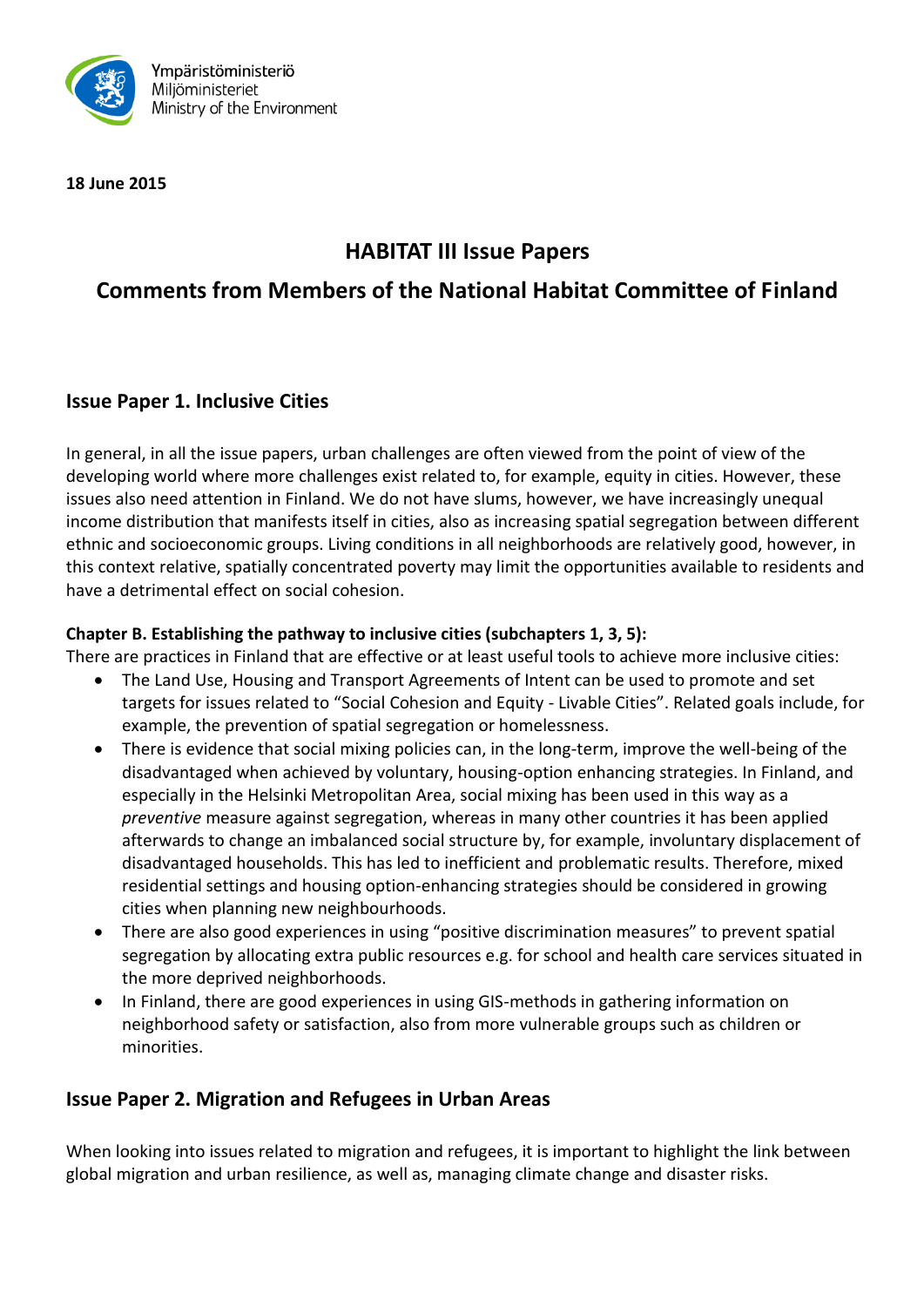

**18 June 2015**

# **HABITAT III Issue Papers**

# **Comments from Members of the National Habitat Committee of Finland**

## **Issue Paper 1. Inclusive Cities**

In general, in all the issue papers, urban challenges are often viewed from the point of view of the developing world where more challenges exist related to, for example, equity in cities. However, these issues also need attention in Finland. We do not have slums, however, we have increasingly unequal income distribution that manifests itself in cities, also as increasing spatial segregation between different ethnic and socioeconomic groups. Living conditions in all neighborhoods are relatively good, however, in this context relative, spatially concentrated poverty may limit the opportunities available to residents and have a detrimental effect on social cohesion.

#### **Chapter B. Establishing the pathway to inclusive cities (subchapters 1, 3, 5):**

There are practices in Finland that are effective or at least useful tools to achieve more inclusive cities:

- The Land Use, Housing and Transport Agreements of Intent can be used to promote and set targets for issues related to "Social Cohesion and Equity - Livable Cities". Related goals include, for example, the prevention of spatial segregation or homelessness.
- There is evidence that social mixing policies can, in the long-term, improve the well-being of the disadvantaged when achieved by voluntary, housing-option enhancing strategies. In Finland, and especially in the Helsinki Metropolitan Area, social mixing has been used in this way as a *preventive* measure against segregation, whereas in many other countries it has been applied afterwards to change an imbalanced social structure by, for example, involuntary displacement of disadvantaged households. This has led to inefficient and problematic results. Therefore, mixed residential settings and housing option-enhancing strategies should be considered in growing cities when planning new neighbourhoods.
- There are also good experiences in using "positive discrimination measures" to prevent spatial segregation by allocating extra public resources e.g. for school and health care services situated in the more deprived neighborhoods.
- In Finland, there are good experiences in using GIS-methods in gathering information on neighborhood safety or satisfaction, also from more vulnerable groups such as children or minorities.

# **Issue Paper 2. Migration and Refugees in Urban Areas**

When looking into issues related to migration and refugees, it is important to highlight the link between global migration and urban resilience, as well as, managing climate change and disaster risks.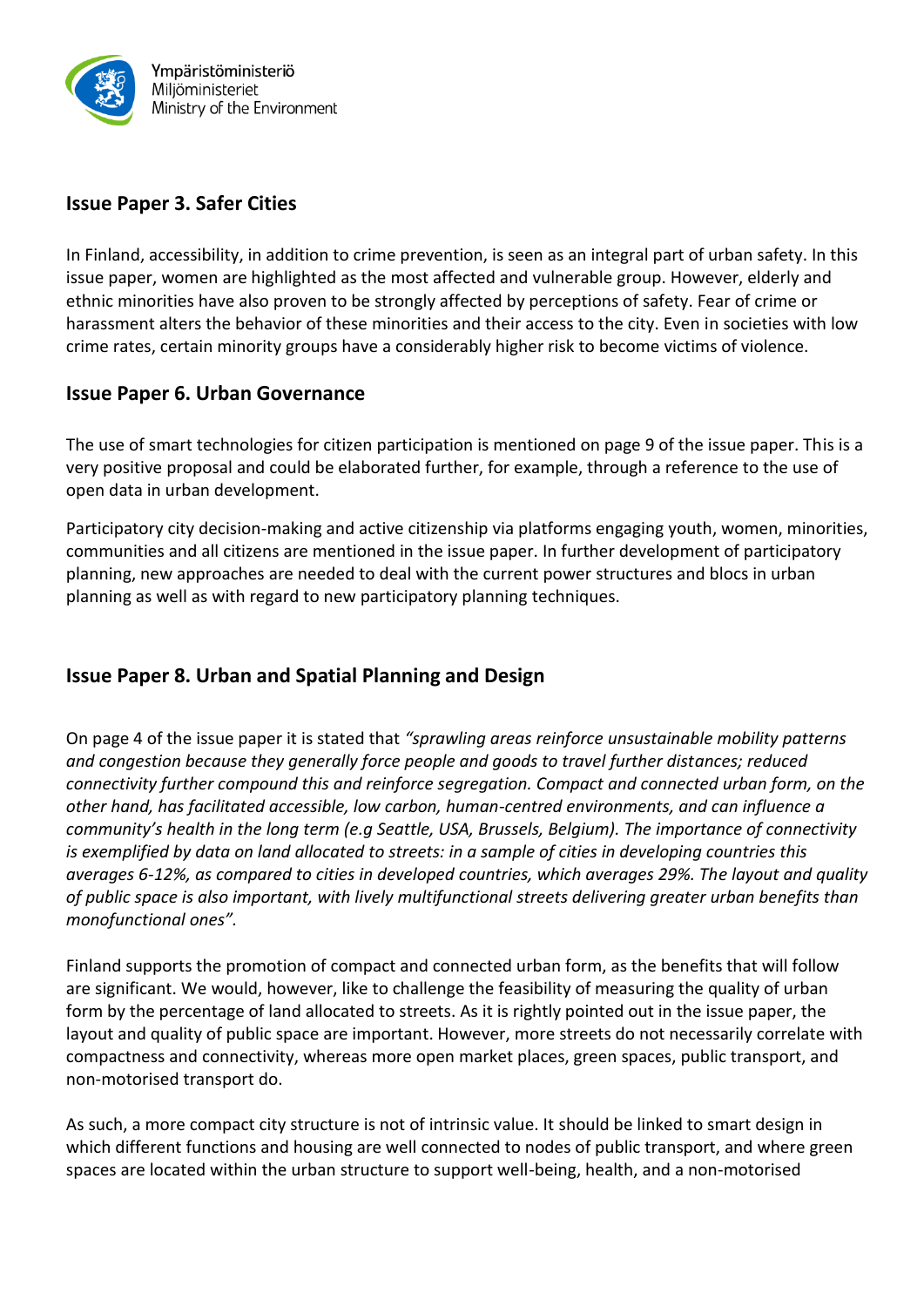

## **Issue Paper 3. Safer Cities**

In Finland, accessibility, in addition to crime prevention, is seen as an integral part of urban safety. In this issue paper, women are highlighted as the most affected and vulnerable group. However, elderly and ethnic minorities have also proven to be strongly affected by perceptions of safety. Fear of crime or harassment alters the behavior of these minorities and their access to the city. Even in societies with low crime rates, certain minority groups have a considerably higher risk to become victims of violence.

#### **Issue Paper 6. Urban Governance**

The use of smart technologies for citizen participation is mentioned on page 9 of the issue paper. This is a very positive proposal and could be elaborated further, for example, through a reference to the use of open data in urban development.

Participatory city decision-making and active citizenship via platforms engaging youth, women, minorities, communities and all citizens are mentioned in the issue paper. In further development of participatory planning, new approaches are needed to deal with the current power structures and blocs in urban planning as well as with regard to new participatory planning techniques.

# **Issue Paper 8. Urban and Spatial Planning and Design**

On page 4 of the issue paper it is stated that *"sprawling areas reinforce unsustainable mobility patterns and congestion because they generally force people and goods to travel further distances; reduced connectivity further compound this and reinforce segregation. Compact and connected urban form, on the other hand, has facilitated accessible, low carbon, human-centred environments, and can influence a community's health in the long term (e.g Seattle, USA, Brussels, Belgium). The importance of connectivity is exemplified by data on land allocated to streets: in a sample of cities in developing countries this averages 6-12%, as compared to cities in developed countries, which averages 29%. The layout and quality of public space is also important, with lively multifunctional streets delivering greater urban benefits than monofunctional ones".*

Finland supports the promotion of compact and connected urban form, as the benefits that will follow are significant. We would, however, like to challenge the feasibility of measuring the quality of urban form by the percentage of land allocated to streets. As it is rightly pointed out in the issue paper, the layout and quality of public space are important. However, more streets do not necessarily correlate with compactness and connectivity, whereas more open market places, green spaces, public transport, and non-motorised transport do.

As such, a more compact city structure is not of intrinsic value. It should be linked to smart design in which different functions and housing are well connected to nodes of public transport, and where green spaces are located within the urban structure to support well-being, health, and a non-motorised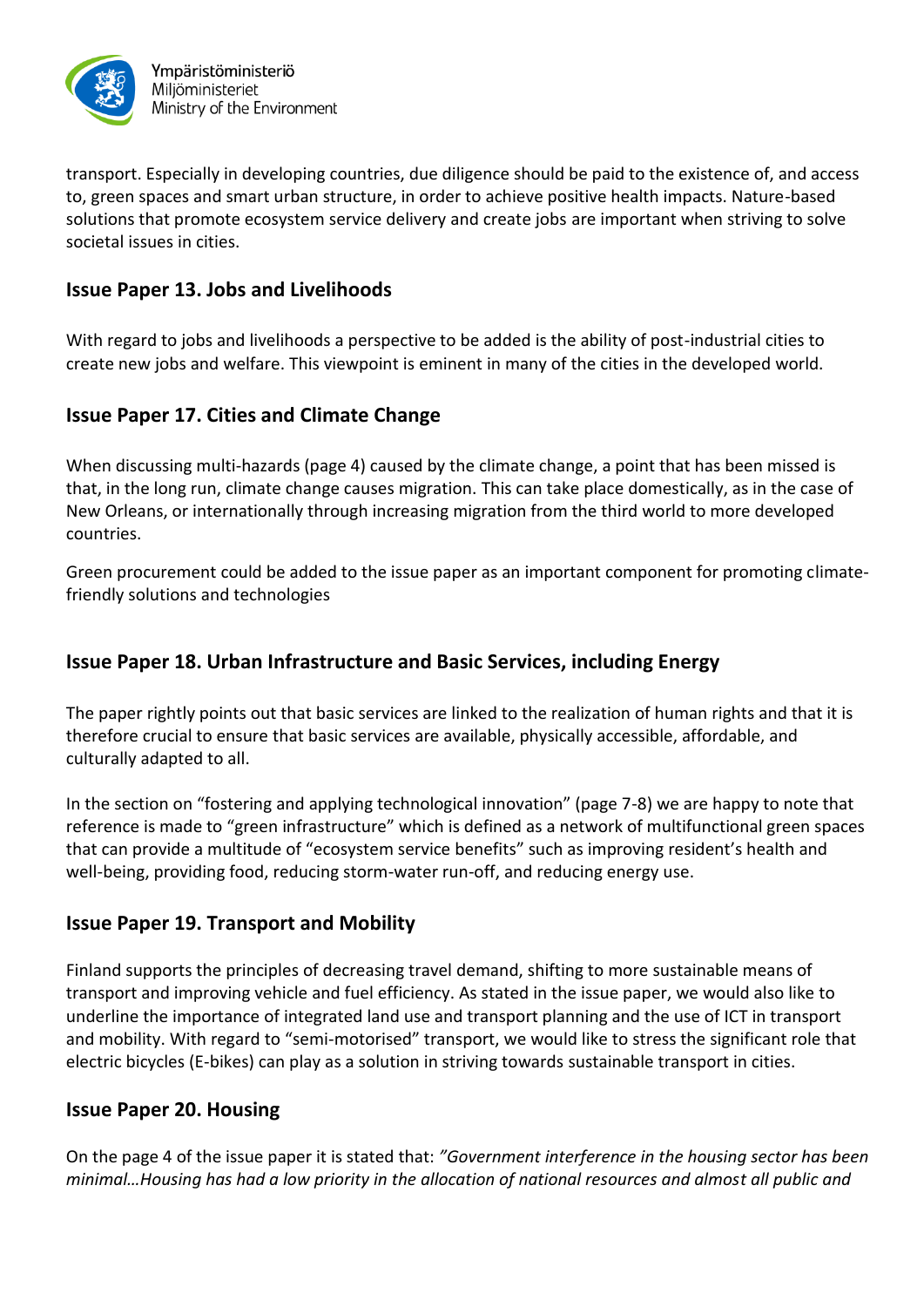

transport. Especially in developing countries, due diligence should be paid to the existence of, and access to, green spaces and smart urban structure, in order to achieve positive health impacts. Nature-based solutions that promote ecosystem service delivery and create jobs are important when striving to solve societal issues in cities.

### **Issue Paper 13. Jobs and Livelihoods**

With regard to jobs and livelihoods a perspective to be added is the ability of post-industrial cities to create new jobs and welfare. This viewpoint is eminent in many of the cities in the developed world.

## **Issue Paper 17. Cities and Climate Change**

When discussing multi-hazards (page 4) caused by the climate change, a point that has been missed is that, in the long run, climate change causes migration. This can take place domestically, as in the case of New Orleans, or internationally through increasing migration from the third world to more developed countries.

Green procurement could be added to the issue paper as an important component for promoting climatefriendly solutions and technologies

## **Issue Paper 18. Urban Infrastructure and Basic Services, including Energy**

The paper rightly points out that basic services are linked to the realization of human rights and that it is therefore crucial to ensure that basic services are available, physically accessible, affordable, and culturally adapted to all.

In the section on "fostering and applying technological innovation" (page 7-8) we are happy to note that reference is made to "green infrastructure" which is defined as a network of multifunctional green spaces that can provide a multitude of "ecosystem service benefits" such as improving resident's health and well-being, providing food, reducing storm-water run-off, and reducing energy use.

#### **Issue Paper 19. Transport and Mobility**

Finland supports the principles of decreasing travel demand, shifting to more sustainable means of transport and improving vehicle and fuel efficiency. As stated in the issue paper, we would also like to underline the importance of integrated land use and transport planning and the use of ICT in transport and mobility. With regard to "semi-motorised" transport, we would like to stress the significant role that electric bicycles (E-bikes) can play as a solution in striving towards sustainable transport in cities.

#### **Issue Paper 20. Housing**

On the page 4 of the issue paper it is stated that: *"Government interference in the housing sector has been minimal…Housing has had a low priority in the allocation of national resources and almost all public and*